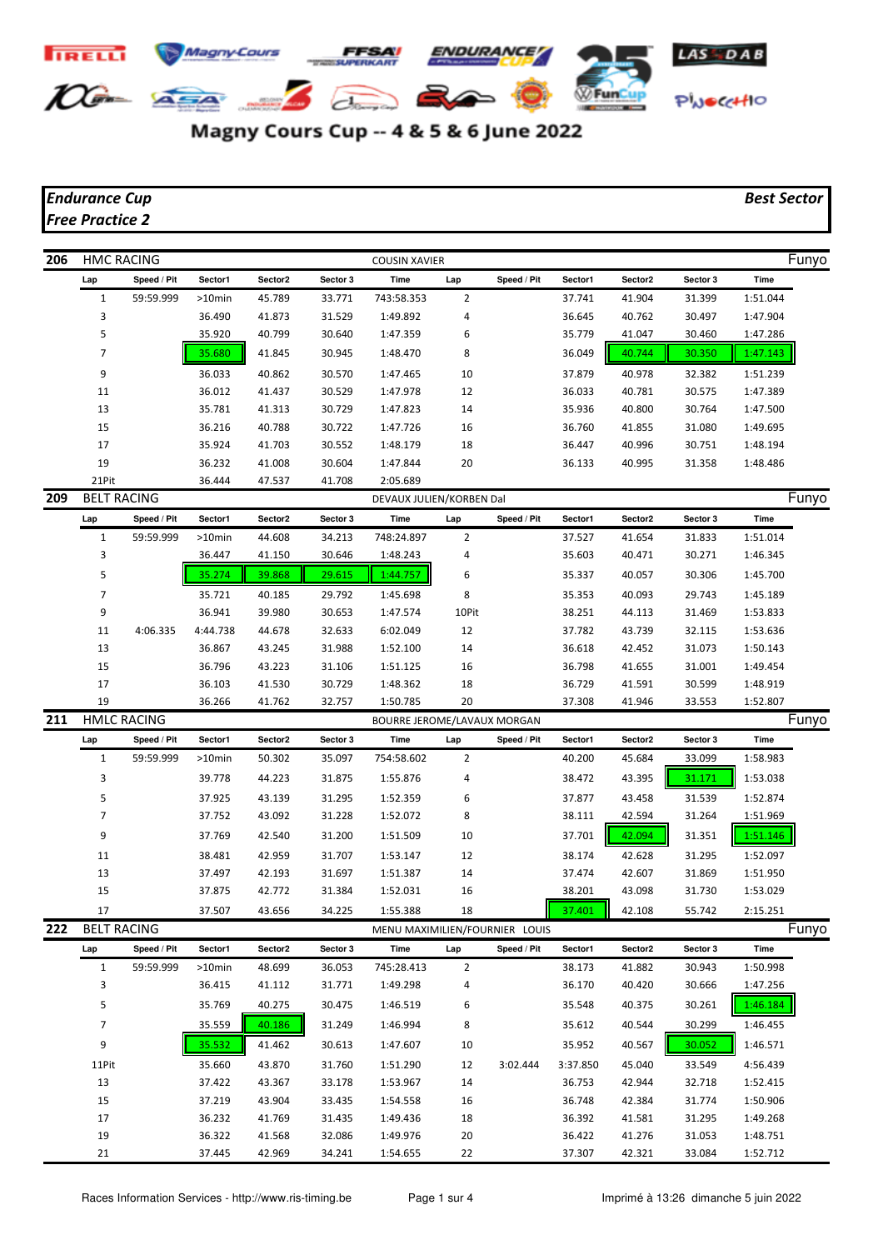

## Magny Cours Cup -- 4 & 5 & 6 June 2022

## *Endurance Cup Best Sector Free Practice 2*

| 206 | <b>HMC RACING</b>  |                    |           |         |          | <b>COUSIN XAVIER</b>        |                |                                |          |         |          |          | Funyo |
|-----|--------------------|--------------------|-----------|---------|----------|-----------------------------|----------------|--------------------------------|----------|---------|----------|----------|-------|
|     | Lap                | Speed / Pit        | Sector1   | Sector2 | Sector 3 | <b>Time</b>                 | Lap            | Speed / Pit                    | Sector1  | Sector2 | Sector 3 | Time     |       |
|     | $\mathbf{1}$       | 59:59.999          | $>10$ min | 45.789  | 33.771   | 743:58.353                  | $\overline{2}$ |                                | 37.741   | 41.904  | 31.399   | 1:51.044 |       |
|     | 3                  |                    | 36.490    | 41.873  | 31.529   | 1:49.892                    | 4              |                                | 36.645   | 40.762  | 30.497   | 1:47.904 |       |
|     | 5                  |                    | 35.920    | 40.799  | 30.640   | 1:47.359                    | 6              |                                | 35.779   | 41.047  | 30.460   | 1:47.286 |       |
|     | 7                  |                    | 35.680    | 41.845  | 30.945   | 1:48.470                    | 8              |                                | 36.049   | 40.744  | 30.350   | 1:47.143 |       |
|     | 9                  |                    | 36.033    | 40.862  | 30.570   | 1:47.465                    | 10             |                                | 37.879   | 40.978  | 32.382   | 1:51.239 |       |
|     | 11                 |                    | 36.012    | 41.437  | 30.529   | 1:47.978                    | 12             |                                | 36.033   | 40.781  | 30.575   | 1:47.389 |       |
|     | 13                 |                    | 35.781    | 41.313  | 30.729   | 1:47.823                    | 14             |                                | 35.936   | 40.800  | 30.764   | 1:47.500 |       |
|     | 15                 |                    | 36.216    | 40.788  | 30.722   | 1:47.726                    | 16             |                                | 36.760   | 41.855  | 31.080   | 1:49.695 |       |
|     | 17                 |                    | 35.924    | 41.703  | 30.552   | 1:48.179                    | 18             |                                | 36.447   | 40.996  | 30.751   | 1:48.194 |       |
|     | 19                 |                    | 36.232    | 41.008  | 30.604   | 1:47.844                    | 20             |                                | 36.133   | 40.995  | 31.358   | 1:48.486 |       |
|     | 21Pit              |                    | 36.444    | 47.537  | 41.708   | 2:05.689                    |                |                                |          |         |          |          |       |
| 209 | <b>BELT RACING</b> |                    |           |         |          | DEVAUX JULIEN/KORBEN Dal    |                |                                |          |         |          |          | Funyo |
|     | Lap                | Speed / Pit        | Sector1   | Sector2 | Sector 3 | <b>Time</b>                 | Lap            | Speed / Pit                    | Sector1  | Sector2 | Sector 3 | Time     |       |
|     | $\mathbf{1}$       | 59:59.999          | $>10$ min | 44.608  | 34.213   | 748:24.897                  | $\overline{2}$ |                                | 37.527   | 41.654  | 31.833   | 1:51.014 |       |
|     | 3                  |                    | 36.447    | 41.150  | 30.646   | 1:48.243                    | 4              |                                | 35.603   | 40.471  | 30.271   | 1:46.345 |       |
|     | 5                  |                    | 35.274    | 39.868  | 29.615   | 1:44.757                    | 6              |                                | 35.337   | 40.057  | 30.306   | 1:45.700 |       |
|     | 7                  |                    | 35.721    | 40.185  | 29.792   | 1:45.698                    | 8              |                                | 35.353   | 40.093  | 29.743   | 1:45.189 |       |
|     | 9                  |                    | 36.941    | 39.980  | 30.653   | 1:47.574                    | 10Pit          |                                | 38.251   | 44.113  | 31.469   | 1:53.833 |       |
|     | 11                 | 4:06.335           | 4:44.738  | 44.678  | 32.633   | 6:02.049                    | 12             |                                | 37.782   | 43.739  | 32.115   | 1:53.636 |       |
|     | 13                 |                    | 36.867    | 43.245  | 31.988   | 1:52.100                    | 14             |                                | 36.618   | 42.452  | 31.073   | 1:50.143 |       |
|     | 15                 |                    | 36.796    | 43.223  | 31.106   | 1:51.125                    | 16             |                                | 36.798   | 41.655  | 31.001   | 1:49.454 |       |
|     | 17                 |                    | 36.103    | 41.530  | 30.729   | 1:48.362                    | 18             |                                | 36.729   | 41.591  | 30.599   | 1:48.919 |       |
|     | 19                 |                    | 36.266    | 41.762  | 32.757   | 1:50.785                    | 20             |                                | 37.308   | 41.946  | 33.553   | 1:52.807 |       |
| 211 |                    | <b>HMLC RACING</b> |           |         |          | BOURRE JEROME/LAVAUX MORGAN |                |                                |          |         |          |          | Funyo |
|     | Lap                | Speed / Pit        | Sector1   | Sector2 | Sector 3 | Time                        | Lap            | Speed / Pit                    | Sector1  | Sector2 | Sector 3 | Time     |       |
|     | $\mathbf{1}$       | 59:59.999          | >10min    | 50.302  | 35.097   | 754:58.602                  | $\overline{2}$ |                                | 40.200   | 45.684  | 33.099   | 1:58.983 |       |
|     | 3                  |                    | 39.778    | 44.223  | 31.875   | 1:55.876                    | 4              |                                | 38.472   | 43.395  | 31.171   | 1:53.038 |       |
|     | 5                  |                    | 37.925    | 43.139  | 31.295   | 1:52.359                    | 6              |                                | 37.877   | 43.458  | 31.539   | 1:52.874 |       |
|     | 7                  |                    | 37.752    | 43.092  | 31.228   | 1:52.072                    | 8              |                                | 38.111   | 42.594  | 31.264   | 1:51.969 |       |
|     | 9                  |                    | 37.769    | 42.540  | 31.200   | 1:51.509                    | 10             |                                | 37.701   | 42.094  | 31.351   | 1:51.146 |       |
|     | 11                 |                    | 38.481    | 42.959  | 31.707   | 1:53.147                    | 12             |                                | 38.174   | 42.628  | 31.295   | 1:52.097 |       |
|     | 13                 |                    | 37.497    | 42.193  | 31.697   | 1:51.387                    | 14             |                                | 37.474   | 42.607  | 31.869   | 1:51.950 |       |
|     | 15                 |                    | 37.875    | 42.772  | 31.384   | 1:52.031                    | 16             |                                | 38.201   | 43.098  | 31.730   | 1:53.029 |       |
|     | 17                 |                    | 37.507    | 43.656  | 34.225   | 1:55.388                    | 18             |                                | 37.401   | 42.108  | 55.742   | 2:15.251 |       |
| 222 | <b>BELT RACING</b> |                    |           |         |          |                             |                | MENU MAXIMILIEN/FOURNIER LOUIS |          |         |          |          | Funyo |
|     | Lap                | Speed / Pit        | Sector1   | Sector2 | Sector 3 | Time                        | Lap            | Speed / Pit                    | Sector1  | Sector2 | Sector 3 | Time     |       |
|     | $1\,$              | 59:59.999          | $>10$ min | 48.699  | 36.053   | 745:28.413                  | $\overline{2}$ |                                | 38.173   | 41.882  | 30.943   | 1:50.998 |       |
|     | 3                  |                    | 36.415    | 41.112  | 31.771   | 1:49.298                    | 4              |                                | 36.170   | 40.420  | 30.666   | 1:47.256 |       |
|     | 5                  |                    | 35.769    | 40.275  | 30.475   | 1:46.519                    | 6              |                                | 35.548   | 40.375  | 30.261   | 1:46.184 |       |
|     | $\overline{7}$     |                    | 35.559    | 40.186  | 31.249   | 1:46.994                    | 8              |                                | 35.612   | 40.544  | 30.299   | 1:46.455 |       |
|     | 9                  |                    | 35.532    | 41.462  | 30.613   | 1:47.607                    | 10             |                                | 35.952   | 40.567  | 30.052   | 1:46.571 |       |
|     | 11Pit              |                    | 35.660    | 43.870  | 31.760   | 1:51.290                    | 12             | 3:02.444                       | 3:37.850 | 45.040  | 33.549   | 4:56.439 |       |
|     | 13                 |                    | 37.422    | 43.367  | 33.178   | 1:53.967                    | 14             |                                | 36.753   | 42.944  | 32.718   | 1:52.415 |       |
|     | 15                 |                    | 37.219    | 43.904  | 33.435   | 1:54.558                    | 16             |                                | 36.748   | 42.384  | 31.774   | 1:50.906 |       |
|     | 17                 |                    | 36.232    | 41.769  | 31.435   | 1:49.436                    | 18             |                                | 36.392   | 41.581  | 31.295   | 1:49.268 |       |
|     | 19                 |                    | 36.322    | 41.568  | 32.086   | 1:49.976                    | 20             |                                | 36.422   | 41.276  | 31.053   | 1:48.751 |       |
|     | 21                 |                    | 37.445    | 42.969  | 34.241   | 1:54.655                    | 22             |                                | 37.307   | 42.321  | 33.084   | 1:52.712 |       |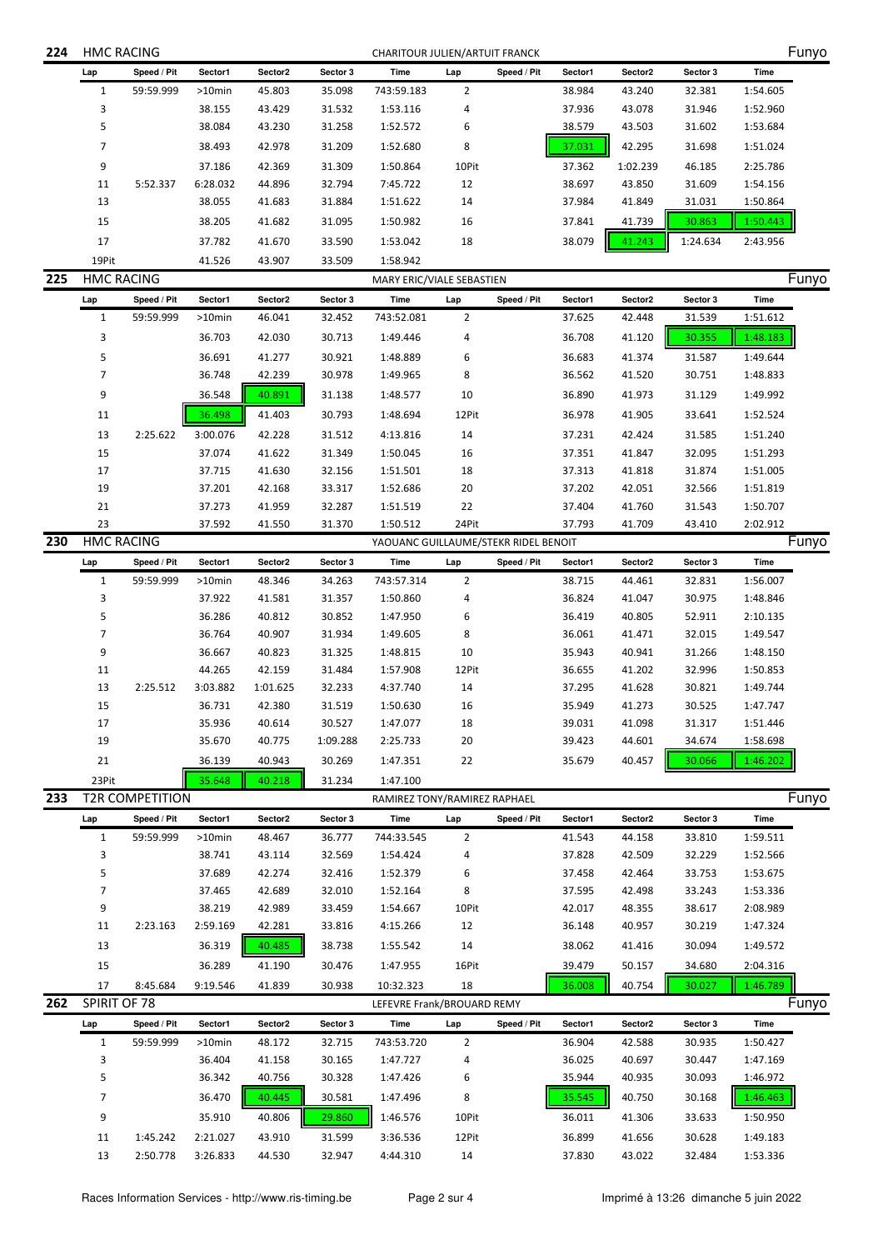| 224 | <b>HMC RACING</b> |                        |                  |                  |                            | CHARITOUR JULIEN/ARTUIT FRANCK       |                |             |                  | Funyo            |                  |                      |       |  |  |  |
|-----|-------------------|------------------------|------------------|------------------|----------------------------|--------------------------------------|----------------|-------------|------------------|------------------|------------------|----------------------|-------|--|--|--|
|     | Lap               | Speed / Pit            | Sector1          | Sector2          | Sector 3                   | Time                                 | Lap            | Speed / Pit | Sector1          | Sector2          | Sector 3         | Time                 |       |  |  |  |
|     | $\mathbf{1}$      | 59:59.999              | $>10$ min        | 45.803           | 35.098                     | 743:59.183                           | $\overline{2}$ |             | 38.984           | 43.240           | 32.381           | 1:54.605             |       |  |  |  |
|     | 3                 |                        | 38.155           | 43.429           | 31.532                     | 1:53.116                             | 4              |             | 37.936           | 43.078           | 31.946           | 1:52.960             |       |  |  |  |
|     | 5                 |                        | 38.084           | 43.230           | 31.258                     | 1:52.572                             | 6              |             | 38.579           | 43.503           | 31.602           | 1:53.684             |       |  |  |  |
|     | 7                 |                        | 38.493           | 42.978           | 31.209                     | 1:52.680                             | 8              |             | 37.031           | 42.295           | 31.698           | 1:51.024             |       |  |  |  |
|     | 9                 |                        | 37.186           | 42.369           | 31.309                     | 1:50.864                             | 10Pit          |             | 37.362           | 1:02.239         | 46.185           | 2:25.786             |       |  |  |  |
|     | 11                | 5:52.337               | 6:28.032         | 44.896           | 32.794                     | 7:45.722                             | 12             |             | 38.697           | 43.850           | 31.609           | 1:54.156             |       |  |  |  |
|     | 13                |                        | 38.055           | 41.683           | 31.884                     | 1:51.622                             | 14             |             | 37.984           | 41.849           | 31.031           | 1:50.864             |       |  |  |  |
|     | 15                |                        | 38.205           | 41.682           | 31.095                     | 1:50.982                             | 16             |             | 37.841           | 41.739           | 30.863           | 1:50.443             |       |  |  |  |
|     | 17                |                        | 37.782           | 41.670           | 33.590                     | 1:53.042                             | 18             |             | 38.079           | 41.243           | 1:24.634         | 2:43.956             |       |  |  |  |
|     | 19Pit             |                        | 41.526           | 43.907           | 33.509                     | 1:58.942                             |                |             |                  |                  |                  |                      |       |  |  |  |
| 225 | <b>HMC RACING</b> |                        |                  |                  |                            | MARY ERIC/VIALE SEBASTIEN            |                |             |                  |                  |                  |                      | Funyo |  |  |  |
|     | Lap               | Speed / Pit            | Sector1          | Sector2          | Sector 3                   | Time                                 | Lap            | Speed / Pit | Sector1          | Sector2          | Sector 3         | Time                 |       |  |  |  |
|     | $\mathbf{1}$      | 59:59.999              | >10min           | 46.041           | 32.452                     | 743:52.081                           | $\overline{2}$ |             | 37.625           | 42.448           | 31.539           | 1:51.612             |       |  |  |  |
|     | 3                 |                        | 36.703           | 42.030           | 30.713                     | 1:49.446                             | 4              |             | 36.708           | 41.120           | 30.355           | 1:48.183             |       |  |  |  |
|     | 5                 |                        | 36.691           | 41.277           | 30.921                     | 1:48.889                             | 6              |             | 36.683           | 41.374           | 31.587           | 1:49.644             |       |  |  |  |
|     | 7                 |                        | 36.748           | 42.239           | 30.978                     | 1:49.965                             | 8              |             | 36.562           | 41.520           | 30.751           | 1:48.833             |       |  |  |  |
|     | 9                 |                        | 36.548           | 40.891           | 31.138                     | 1:48.577                             | 10             |             | 36.890           | 41.973           | 31.129           | 1:49.992             |       |  |  |  |
|     | 11                |                        | 36.498           | 41.403           | 30.793                     | 1:48.694                             | 12Pit          |             | 36.978           | 41.905           | 33.641           | 1:52.524             |       |  |  |  |
|     | 13                | 2:25.622               | 3:00.076         | 42.228           | 31.512                     | 4:13.816                             | 14             |             | 37.231           | 42.424           | 31.585           | 1:51.240             |       |  |  |  |
|     | 15                |                        | 37.074           | 41.622           | 31.349                     | 1:50.045                             | 16             |             | 37.351           | 41.847           | 32.095           | 1:51.293             |       |  |  |  |
|     | 17                |                        | 37.715           | 41.630           | 32.156                     | 1:51.501                             | 18             |             | 37.313           | 41.818           | 31.874           | 1:51.005             |       |  |  |  |
|     | 19                |                        | 37.201           | 42.168           | 33.317                     | 1:52.686                             | 20             |             | 37.202           | 42.051           | 32.566           | 1:51.819             |       |  |  |  |
|     | 21                |                        | 37.273           | 41.959           | 32.287                     | 1:51.519                             | 22             |             | 37.404           | 41.760           | 31.543           | 1:50.707             |       |  |  |  |
|     | 23                |                        | 37.592           | 41.550           | 31.370                     | 1:50.512                             | 24Pit          |             | 37.793           | 41.709           | 43.410           | 2:02.912             |       |  |  |  |
| 230 | <b>HMC RACING</b> |                        |                  |                  |                            | YAOUANC GUILLAUME/STEKR RIDEL BENOIT |                |             |                  |                  |                  |                      | Funyo |  |  |  |
|     | Lap               | Speed / Pit            | Sector1          | Sector2          | Sector 3                   | Time                                 | Lap            | Speed / Pit | Sector1          | Sector2          | Sector 3         | Time                 |       |  |  |  |
|     | $\mathbf{1}$<br>3 | 59:59.999              | >10min           | 48.346           | 34.263                     | 743:57.314                           | $\overline{2}$ |             | 38.715           | 44.461           | 32.831           | 1:56.007             |       |  |  |  |
|     | 5                 |                        | 37.922<br>36.286 | 41.581<br>40.812 | 31.357<br>30.852           | 1:50.860<br>1:47.950                 | 4<br>6         |             | 36.824<br>36.419 | 41.047<br>40.805 | 30.975<br>52.911 | 1:48.846<br>2:10.135 |       |  |  |  |
|     | 7                 |                        | 36.764           | 40.907           | 31.934                     | 1:49.605                             | 8              |             | 36.061           | 41.471           | 32.015           | 1:49.547             |       |  |  |  |
|     | 9                 |                        | 36.667           | 40.823           | 31.325                     | 1:48.815                             | 10             |             | 35.943           | 40.941           | 31.266           | 1:48.150             |       |  |  |  |
|     | 11                |                        | 44.265           | 42.159           | 31.484                     | 1:57.908                             | 12Pit          |             | 36.655           | 41.202           | 32.996           | 1:50.853             |       |  |  |  |
|     | 13                | 2:25.512               | 3:03.882         | 1:01.625         | 32.233                     | 4:37.740                             | 14             |             | 37.295           | 41.628           | 30.821           | 1:49.744             |       |  |  |  |
|     | 15                |                        | 36.731           | 42.380           | 31.519                     | 1:50.630                             | 16             |             | 35.949           | 41.273           | 30.525           | 1:47.747             |       |  |  |  |
|     | 17                |                        | 35.936           | 40.614           | 30.527                     | 1:47.077                             | 18             |             | 39.031           | 41.098           | 31.317           | 1:51.446             |       |  |  |  |
|     | 19                |                        | 35.670           | 40.775           | 1:09.288                   | 2:25.733                             | 20             |             | 39.423           | 44.601           | 34.674           | 1:58.698             |       |  |  |  |
|     | 21                |                        | 36.139           | 40.943           | 30.269                     | 1:47.351                             | 22             |             | 35.679           | 40.457           | 30.066           | 1:46.202             |       |  |  |  |
|     | 23Pit             |                        | 35.648           | 40.218           | 31.234                     | 1:47.100                             |                |             |                  |                  |                  |                      |       |  |  |  |
| 233 |                   | <b>T2R COMPETITION</b> |                  |                  |                            | RAMIREZ TONY/RAMIREZ RAPHAEL         |                |             |                  |                  |                  |                      | Funyo |  |  |  |
|     | Lap               | Speed / Pit            | Sector1          | Sector2          | Sector 3                   | Time                                 | Lap            | Speed / Pit | Sector1          | Sector2          | Sector 3         | Time                 |       |  |  |  |
|     | $\mathbf{1}$      | 59:59.999              | >10min           | 48.467           | 36.777                     | 744:33.545                           | $\overline{2}$ |             | 41.543           | 44.158           | 33.810           | 1:59.511             |       |  |  |  |
|     | 3                 |                        | 38.741           | 43.114           | 32.569                     | 1:54.424                             | 4              |             | 37.828           | 42.509           | 32.229           | 1:52.566             |       |  |  |  |
|     | 5                 |                        | 37.689           | 42.274           | 32.416                     | 1:52.379                             | 6              |             | 37.458           | 42.464           | 33.753           | 1:53.675             |       |  |  |  |
|     | 7                 |                        | 37.465           | 42.689           | 32.010                     | 1:52.164                             | 8              |             | 37.595           | 42.498           | 33.243           | 1:53.336             |       |  |  |  |
|     | 9                 |                        | 38.219           | 42.989           | 33.459                     | 1:54.667                             | 10Pit          |             | 42.017           | 48.355           | 38.617           | 2:08.989             |       |  |  |  |
|     | 11                | 2:23.163               | 2:59.169         | 42.281           | 33.816                     | 4:15.266                             | 12             |             | 36.148           | 40.957           | 30.219           | 1:47.324             |       |  |  |  |
|     | 13                |                        | 36.319           | 40.485           | 38.738                     | 1:55.542                             | 14             |             | 38.062           | 41.416           | 30.094           | 1:49.572             |       |  |  |  |
|     | 15                |                        | 36.289           | 41.190           | 30.476                     | 1:47.955                             | 16Pit          |             | 39.479           | 50.157           | 34.680           | 2:04.316             |       |  |  |  |
|     | 17                | 8:45.684               | 9:19.546         | 41.839           | 30.938                     | 10:32.323                            | 18             |             | 36.008           | 40.754           | 30.027           | 1:46.789             |       |  |  |  |
| 262 | SPIRIT OF 78      |                        |                  |                  | LEFEVRE Frank/BROUARD REMY |                                      |                |             |                  |                  |                  |                      | Funyo |  |  |  |
|     | Lap               | Speed / Pit            | Sector1          | Sector2          | Sector 3                   | Time                                 | Lap            | Speed / Pit | Sector1          | Sector2          | Sector 3         | Time                 |       |  |  |  |
|     | $\mathbf{1}$      | 59:59.999              | >10min           | 48.172           | 32.715                     | 743:53.720                           | 2              |             | 36.904           | 42.588           | 30.935           | 1:50.427             |       |  |  |  |
|     | 3                 |                        | 36.404           | 41.158           | 30.165                     | 1:47.727                             | 4              |             | 36.025           | 40.697           | 30.447           | 1:47.169             |       |  |  |  |
|     | 5                 |                        | 36.342           | 40.756           | 30.328                     | 1:47.426                             | 6              |             | 35.944           | 40.935           | 30.093           | 1:46.972             |       |  |  |  |
|     | 7                 |                        | 36.470           | 40.445           | 30.581                     | 1:47.496                             | 8              |             | 35.545           | 40.750           | 30.168           | 1:46.463             |       |  |  |  |
|     | 9                 |                        | 35.910           | 40.806           | 29.860                     | 1:46.576                             | 10Pit          |             | 36.011           | 41.306           | 33.633           | 1:50.950             |       |  |  |  |
|     | 11                | 1:45.242               | 2:21.027         | 43.910           | 31.599                     | 3:36.536                             | 12Pit          |             | 36.899           | 41.656           | 30.628           | 1:49.183             |       |  |  |  |
|     | 13                | 2:50.778               | 3:26.833         | 44.530           | 32.947                     | 4:44.310                             | 14             |             | 37.830           | 43.022           | 32.484           | 1:53.336             |       |  |  |  |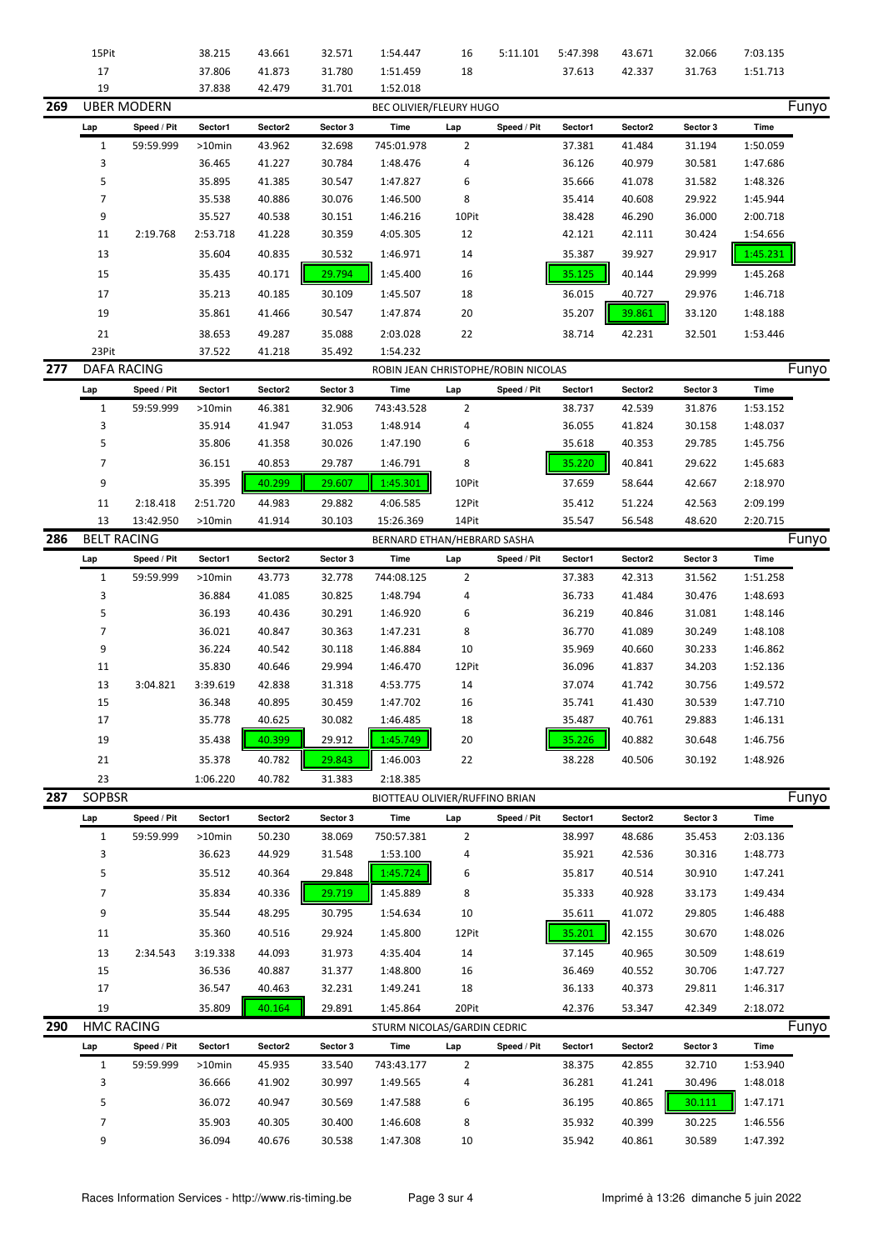|     | 15Pit                       |                    | 38.215    | 43.661  | 32.571   | 1:54.447                            | 16             | 5:11.101    | 5:47.398 | 43.671  | 32.066   | 7:03.135 |       |
|-----|-----------------------------|--------------------|-----------|---------|----------|-------------------------------------|----------------|-------------|----------|---------|----------|----------|-------|
|     | 17                          |                    | 37.806    | 41.873  | 31.780   | 1:51.459                            | 18             |             | 37.613   | 42.337  | 31.763   | 1:51.713 |       |
|     | 19                          |                    | 37.838    | 42.479  | 31.701   | 1:52.018                            |                |             |          |         |          |          |       |
| 269 |                             | <b>UBER MODERN</b> |           |         |          | BEC OLIVIER/FLEURY HUGO             |                |             |          |         |          |          | Funyo |
|     | Lap                         | Speed / Pit        | Sector1   | Sector2 | Sector 3 | Time                                | Lap            | Speed / Pit | Sector1  | Sector2 | Sector 3 | Time     |       |
|     | $1\,$                       | 59:59.999          | >10min    | 43.962  | 32.698   | 745:01.978                          | $\overline{2}$ |             | 37.381   | 41.484  | 31.194   | 1:50.059 |       |
|     | 3                           |                    | 36.465    | 41.227  | 30.784   | 1:48.476                            | 4              |             | 36.126   | 40.979  | 30.581   | 1:47.686 |       |
|     | 5                           |                    | 35.895    | 41.385  | 30.547   | 1:47.827                            | 6              |             | 35.666   | 41.078  | 31.582   | 1:48.326 |       |
|     | 7                           |                    | 35.538    | 40.886  | 30.076   | 1:46.500                            | 8              |             | 35.414   | 40.608  | 29.922   | 1:45.944 |       |
|     | 9                           |                    | 35.527    | 40.538  | 30.151   | 1:46.216                            | 10Pit          |             | 38.428   | 46.290  | 36.000   | 2:00.718 |       |
|     | 11                          | 2:19.768           | 2:53.718  | 41.228  | 30.359   | 4:05.305                            | 12             |             | 42.121   | 42.111  | 30.424   | 1:54.656 |       |
|     | 13                          |                    | 35.604    | 40.835  | 30.532   | 1:46.971                            | 14             |             | 35.387   | 39.927  | 29.917   | 1:45.231 |       |
|     |                             |                    |           | 40.171  | 29.794   | 1:45.400                            |                |             | 35.125   | 40.144  |          |          |       |
|     | 15                          |                    | 35.435    |         |          |                                     | 16             |             |          |         | 29.999   | 1:45.268 |       |
|     | 17                          |                    | 35.213    | 40.185  | 30.109   | 1:45.507                            | 18             |             | 36.015   | 40.727  | 29.976   | 1:46.718 |       |
|     | 19                          |                    | 35.861    | 41.466  | 30.547   | 1:47.874                            | 20             |             | 35.207   | 39.861  | 33.120   | 1:48.188 |       |
|     | 21                          |                    | 38.653    | 49.287  | 35.088   | 2:03.028                            | 22             |             | 38.714   | 42.231  | 32.501   | 1:53.446 |       |
|     | 23Pit<br><b>DAFA RACING</b> |                    | 37.522    | 41.218  | 35.492   | 1:54.232                            |                |             |          |         |          |          |       |
| 277 |                             |                    |           |         |          | ROBIN JEAN CHRISTOPHE/ROBIN NICOLAS |                |             |          |         |          |          | Funyo |
|     | Lap                         | Speed / Pit        | Sector1   | Sector2 | Sector 3 | Time                                | Lap            | Speed / Pit | Sector1  | Sector2 | Sector 3 | Time     |       |
|     | $\mathbf{1}$                | 59:59.999          | >10min    | 46.381  | 32.906   | 743:43.528                          | $\overline{2}$ |             | 38.737   | 42.539  | 31.876   | 1:53.152 |       |
|     | 3                           |                    | 35.914    | 41.947  | 31.053   | 1:48.914                            | 4              |             | 36.055   | 41.824  | 30.158   | 1:48.037 |       |
|     | 5                           |                    | 35.806    | 41.358  | 30.026   | 1:47.190                            | 6              |             | 35.618   | 40.353  | 29.785   | 1:45.756 |       |
|     | 7                           |                    | 36.151    | 40.853  | 29.787   | 1:46.791                            | 8              |             | 35.220   | 40.841  | 29.622   | 1:45.683 |       |
|     | 9                           |                    | 35.395    | 40.299  | 29.607   | 1:45.301                            | 10Pit          |             | 37.659   | 58.644  | 42.667   | 2:18.970 |       |
|     | 11                          | 2:18.418           | 2:51.720  | 44.983  | 29.882   | 4:06.585                            | 12Pit          |             | 35.412   | 51.224  | 42.563   | 2:09.199 |       |
|     | 13                          | 13:42.950          | >10min    | 41.914  | 30.103   | 15:26.369                           | 14Pit          |             | 35.547   | 56.548  | 48.620   | 2:20.715 |       |
| 286 | <b>BELT RACING</b>          |                    |           |         |          | BERNARD ETHAN/HEBRARD SASHA         |                |             |          |         |          |          | Funyo |
|     | Lap                         | Speed / Pit        | Sector1   | Sector2 | Sector 3 | Time                                | Lap            | Speed / Pit | Sector1  | Sector2 | Sector 3 | Time     |       |
|     | $\mathbf{1}$                | 59:59.999          | >10min    | 43.773  | 32.778   | 744:08.125                          | $\overline{2}$ |             | 37.383   | 42.313  | 31.562   | 1:51.258 |       |
|     | 3                           |                    | 36.884    | 41.085  | 30.825   | 1:48.794                            | 4              |             | 36.733   | 41.484  | 30.476   | 1:48.693 |       |
|     | 5                           |                    | 36.193    | 40.436  | 30.291   | 1:46.920                            | 6              |             | 36.219   | 40.846  | 31.081   | 1:48.146 |       |
|     | 7                           |                    | 36.021    | 40.847  | 30.363   | 1:47.231                            | 8              |             | 36.770   | 41.089  | 30.249   | 1:48.108 |       |
|     | 9                           |                    | 36.224    | 40.542  | 30.118   | 1:46.884                            | 10             |             | 35.969   | 40.660  | 30.233   | 1:46.862 |       |
|     | 11                          |                    | 35.830    | 40.646  | 29.994   | 1:46.470                            | 12Pit          |             | 36.096   | 41.837  | 34.203   | 1:52.136 |       |
|     | 13                          | 3:04.821           | 3:39.619  | 42.838  | 31.318   | 4:53.775                            | 14             |             | 37.074   | 41.742  | 30.756   | 1:49.572 |       |
|     | 15                          |                    | 36.348    | 40.895  | 30.459   | 1:47.702                            | 16             |             | 35.741   | 41.430  | 30.539   | 1:47.710 |       |
|     | 17                          |                    | 35.778    | 40.625  | 30.082   | 1:46.485                            | 18             |             | 35.487   | 40.761  | 29.883   | 1:46.131 |       |
|     | 19                          |                    | 35.438    | 40.399  | 29.912   | 1:45.749                            | 20             |             | 35.226   | 40.882  | 30.648   | 1:46.756 |       |
|     | 21                          |                    | 35.378    | 40.782  | 29.843   | 1:46.003                            | 22             |             | 38.228   | 40.506  | 30.192   | 1:48.926 |       |
|     | 23                          |                    | 1:06.220  | 40.782  | 31.383   | 2:18.385                            |                |             |          |         |          |          |       |
| 287 | <b>SOPBSR</b>               |                    |           |         |          | BIOTTEAU OLIVIER/RUFFINO BRIAN      |                |             |          |         |          |          | Funyo |
|     | Lap                         | Speed / Pit        | Sector1   | Sector2 | Sector 3 | Time                                | Lap            | Speed / Pit | Sector1  | Sector2 | Sector 3 | Time     |       |
|     | $\mathbf{1}$                | 59:59.999          | $>10$ min | 50.230  | 38.069   | 750:57.381                          | $\overline{2}$ |             | 38.997   | 48.686  | 35.453   | 2:03.136 |       |
|     | 3                           |                    | 36.623    | 44.929  | 31.548   | 1:53.100                            | 4              |             | 35.921   | 42.536  | 30.316   | 1:48.773 |       |
|     | 5                           |                    | 35.512    | 40.364  | 29.848   | 1:45.724                            | 6              |             | 35.817   | 40.514  | 30.910   | 1:47.241 |       |
|     |                             |                    |           |         |          |                                     |                |             |          |         |          |          |       |
|     | 7                           |                    | 35.834    | 40.336  | 29.719   | 1:45.889                            | 8              |             | 35.333   | 40.928  | 33.173   | 1:49.434 |       |
|     | 9                           |                    | 35.544    | 48.295  | 30.795   | 1:54.634                            | 10             |             | 35.611   | 41.072  | 29.805   | 1:46.488 |       |
|     | 11                          |                    | 35.360    | 40.516  | 29.924   | 1:45.800                            | 12Pit          |             | 35.201   | 42.155  | 30.670   | 1:48.026 |       |
|     | 13                          | 2:34.543           | 3:19.338  | 44.093  | 31.973   | 4:35.404                            | 14             |             | 37.145   | 40.965  | 30.509   | 1:48.619 |       |
|     | 15                          |                    | 36.536    | 40.887  | 31.377   | 1:48.800                            | 16             |             | 36.469   | 40.552  | 30.706   | 1:47.727 |       |
|     | 17                          |                    | 36.547    | 40.463  | 32.231   | 1:49.241                            | 18             |             | 36.133   | 40.373  | 29.811   | 1:46.317 |       |
|     | 19                          |                    | 35.809    | 40.164  | 29.891   | 1:45.864                            | 20Pit          |             | 42.376   | 53.347  | 42.349   | 2:18.072 |       |
| 290 | <b>HMC RACING</b>           |                    |           |         |          | STURM NICOLAS/GARDIN CEDRIC         |                |             |          |         |          |          | Funyo |
|     | Lap                         | Speed / Pit        | Sector1   | Sector2 | Sector 3 | Time                                | Lap            | Speed / Pit | Sector1  | Sector2 | Sector 3 | Time     |       |
|     | $\mathbf{1}$                | 59:59.999          | >10min    | 45.935  | 33.540   | 743:43.177                          | $\overline{2}$ |             | 38.375   | 42.855  | 32.710   | 1:53.940 |       |
|     | 3                           |                    | 36.666    | 41.902  | 30.997   | 1:49.565                            | 4              |             | 36.281   | 41.241  | 30.496   | 1:48.018 |       |
|     |                             |                    | 36.072    | 40.947  | 30.569   | 1:47.588                            | 6              |             | 36.195   | 40.865  | 30.111   | 1:47.171 |       |
|     | 5                           |                    |           |         |          |                                     |                |             |          |         |          |          |       |
|     | 7                           |                    | 35.903    | 40.305  | 30.400   | 1:46.608                            | 8              |             | 35.932   | 40.399  | 30.225   | 1:46.556 |       |